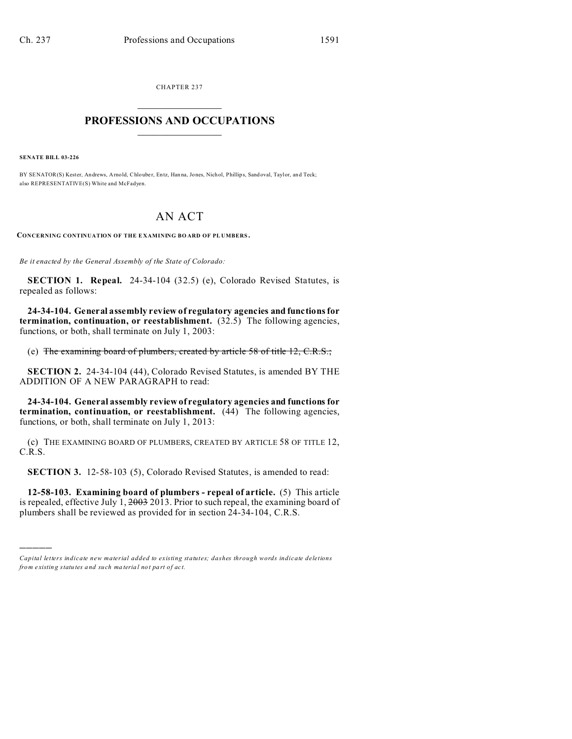CHAPTER 237  $\overline{\phantom{a}}$  , where  $\overline{\phantom{a}}$ 

## **PROFESSIONS AND OCCUPATIONS**  $\frac{1}{2}$  ,  $\frac{1}{2}$  ,  $\frac{1}{2}$  ,  $\frac{1}{2}$  ,  $\frac{1}{2}$  ,  $\frac{1}{2}$  ,  $\frac{1}{2}$

**SENATE BILL 03-226**

)))))

BY SENATOR(S) Kester, Andrews, Arnold, Chlouber, Entz, Hanna, Jones, Nichol, Phillips, Sand oval, Taylor, and Teck; also REPRESENTATIVE(S) White and McFadyen.

## AN ACT

**CONCERNING CONTINUATION OF THE E XAMINING BO ARD OF PL UMBERS .**

*Be it enacted by the General Assembly of the State of Colorado:*

**SECTION 1. Repeal.** 24-34-104 (32.5) (e), Colorado Revised Statutes, is repealed as follows:

**24-34-104. General assembly review of regulatory agencies and functions for termination, continuation, or reestablishment.** (32.5) The following agencies, functions, or both, shall terminate on July 1, 2003:

(e) The examining board of plumbers, created by article 58 of title 12, C.R.S.;

**SECTION 2.** 24-34-104 (44), Colorado Revised Statutes, is amended BY THE ADDITION OF A NEW PARAGRAPH to read:

**24-34-104. General assembly review of regulatory agencies and functions for termination, continuation, or reestablishment.** (44) The following agencies, functions, or both, shall terminate on July 1, 2013:

(c) THE EXAMINING BOARD OF PLUMBERS, CREATED BY ARTICLE 58 OF TITLE 12, C.R.S.

**SECTION 3.** 12-58-103 (5), Colorado Revised Statutes, is amended to read:

**12-58-103. Examining board of plumbers - repeal of article.** (5) This article is repealed, effective July 1,  $2003$  2013. Prior to such repeal, the examining board of plumbers shall be reviewed as provided for in section 24-34-104, C.R.S.

*Capital letters indicate new material added to existing statutes; dashes through words indicate deletions from e xistin g statu tes a nd such ma teria l no t pa rt of ac t.*